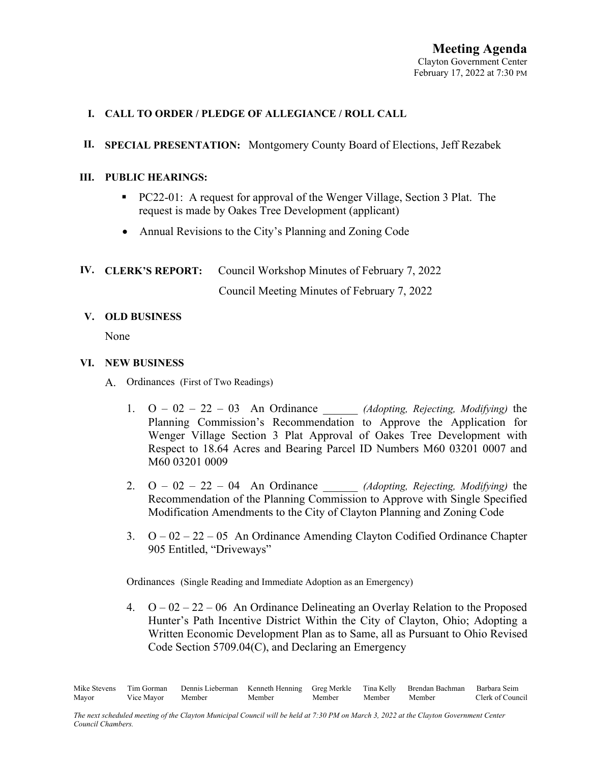## **I. CALL TO ORDER / PLEDGE OF ALLEGIANCE / ROLL CALL**

## **II. SPECIAL PRESENTATION:** Montgomery County Board of Elections, Jeff Rezabek

#### **III. PUBLIC HEARINGS:**

- PC22-01: A request for approval of the Wenger Village, Section 3 Plat.The request is made by Oakes Tree Development (applicant)
- Annual Revisions to the City's Planning and Zoning Code

# **IV. CLERK'S REPORT:** Council Workshop Minutes of February 7, 2022

Council Meeting Minutes of February 7, 2022

### **V. OLD BUSINESS**

None

### **VI. NEW BUSINESS**

- A. Ordinances (First of Two Readings)
	- 1. O 02 22 03 An Ordinance \_\_\_\_\_\_ *(Adopting, Rejecting, Modifying)* the Planning Commission's Recommendation to Approve the Application for Wenger Village Section 3 Plat Approval of Oakes Tree Development with Respect to 18.64 Acres and Bearing Parcel ID Numbers M60 03201 0007 and M60 03201 0009
	- 2. O 02 22 04 An Ordinance \_\_\_\_\_\_ *(Adopting, Rejecting, Modifying)* the Recommendation of the Planning Commission to Approve with Single Specified Modification Amendments to the City of Clayton Planning and Zoning Code
	- 3.  $Q 02 22 05$  An Ordinance Amending Clayton Codified Ordinance Chapter 905 Entitled, "Driveways"

Ordinances (Single Reading and Immediate Adoption as an Emergency)

4.  $O - 02 - 22 - 06$  An Ordinance Delineating an Overlay Relation to the Proposed Hunter's Path Incentive District Within the City of Clayton, Ohio; Adopting a Written Economic Development Plan as to Same, all as Pursuant to Ohio Revised Code Section 5709.04(C), and Declaring an Emergency

Mike Stevens Tim Gorman Dennis Lieberman Kenneth Henning Greg Merkle Tina Kelly Brendan Bachman Barbara Seim Mayor Vice Mayor Member Member Member Member Member Clerk of Council